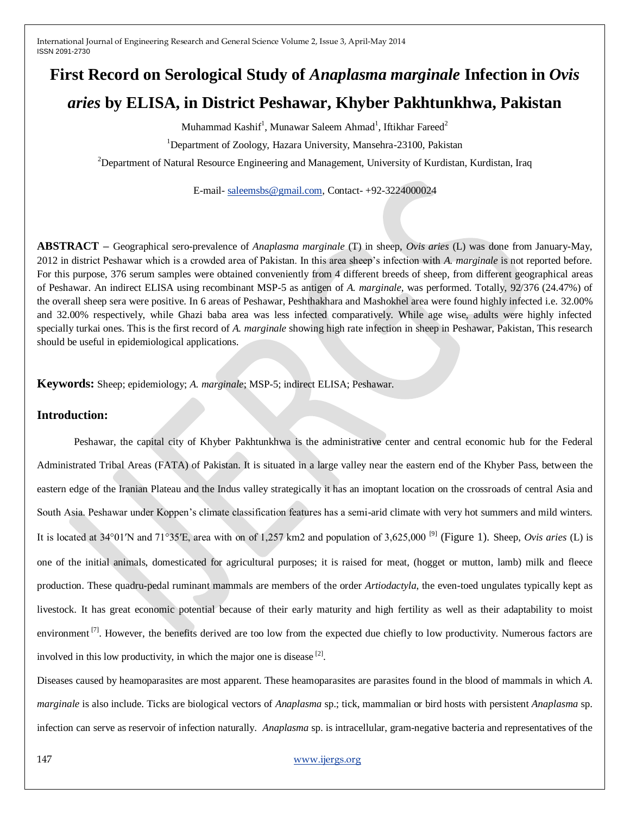# **First Record on Serological Study of** *Anaplasma marginale* **Infection in** *Ovis aries* **by ELISA, in District Peshawar, Khyber Pakhtunkhwa, Pakistan**

Muhammad Kashif<sup>1</sup>, Munawar Saleem Ahmad<sup>1</sup>, Iftikhar Fareed<sup>2</sup>

<sup>1</sup>Department of Zoology, Hazara University, Mansehra-23100, Pakistan

<sup>2</sup>Department of Natural Resource Engineering and Management, University of Kurdistan, Kurdistan, Iraq

E-mail- [saleemsbs@gmail.com,](mailto:saleemsbs@gmail.com) Contact- +92-3224000024

**ABSTRACT –** Geographical sero-prevalence of *Anaplasma marginale* (T) in sheep, *Ovis aries* (L) was done from January-May, 2012 in district Peshawar which is a crowded area of Pakistan. In this area sheep's infection with *A. marginale* is not reported before. For this purpose, 376 serum samples were obtained conveniently from 4 different breeds of sheep, from different geographical areas of Peshawar. An indirect ELISA using recombinant MSP-5 as antigen of *A. marginale,* was performed. Totally, 92/376 (24.47%) of the overall sheep sera were positive. In 6 areas of Peshawar, Peshthakhara and Mashokhel area were found highly infected i.e. 32.00% and 32.00% respectively, while Ghazi baba area was less infected comparatively. While age wise, adults were highly infected specially turkai ones. This is the first record of *A. marginale* showing high rate infection in sheep in Peshawar, Pakistan, This research should be useful in epidemiological applications.

**Keywords:** Sheep; epidemiology; *A. marginale*; MSP-5; indirect ELISA; Peshawar.

## **Introduction:**

Peshawar, the capital city of Khyber Pakhtunkhwa is the administrative center and central economic hub for the Federal Administrated Tribal Areas (FATA) of Pakistan. It is situated in a large valley near the eastern end of the Khyber Pass, between the eastern edge of the Iranian Plateau and the Indus valley strategically it has an imoptant location on the crossroads of central Asia and South Asia. Peshawar under Koppen's climate classification features has a semi-arid climate with very hot summers and mild winters. It is located at 34°01′N and 71°35′E, area with on of 1,257 km2 and population of 3,625,000 [9] (Figure 1). Sheep, *Ovis aries* (L) is one of the initial animals, domesticated for agricultural purposes; it is raised for meat, (hogget or mutton, lamb) milk and fleece production. These quadru-pedal [ruminant](http://en.wikipedia.org/wiki/Ruminant) mammals are members of the order *Artiodactyla*, the even-toed ungulates typically kept as livestock. It has great economic potential because of their early maturity and high fertility as well as their adaptability to moist environment<sup>[7]</sup>. However, the benefits derived are too low from the expected due chiefly to low productivity. Numerous factors are involved in this low productivity, in which the major one is disease  $^{[2]}$ .

Diseases caused by heamoparasites are most apparent. These heamoparasites are parasites found in the blood of mammals in which *A. marginale* is also include. Ticks are biological vectors of *Anaplasma* sp.; tick, mammalian or bird hosts with persistent *Anaplasma* sp. infection can serve as reservoir of infection naturally. *Anaplasma* sp. is intracellular, gram-negative bacteria and representatives of the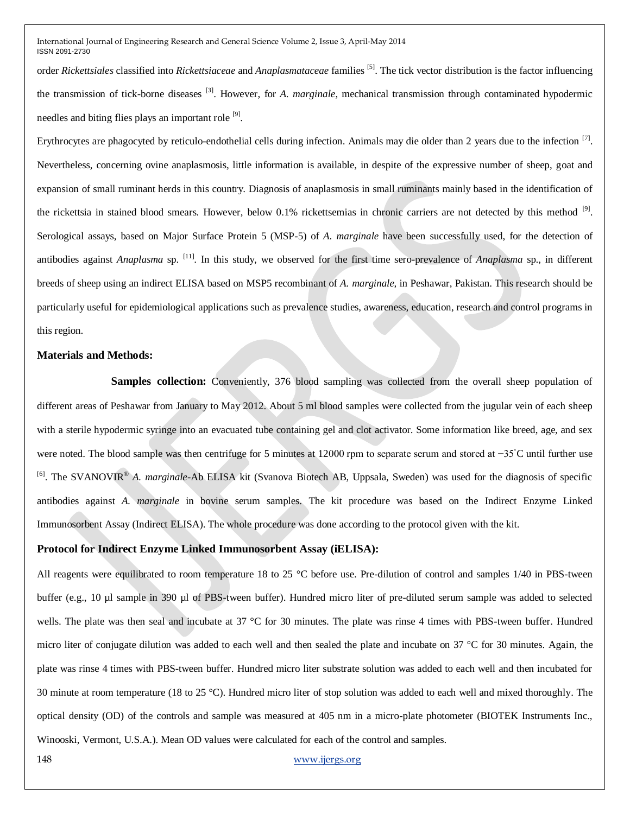order *Rickettsiales* classified into *Rickettsiaceae* and *Anaplasmataceae* families [5]. The tick vector distribution is the factor influencing the transmission of tick-borne diseases [3]. However, for *A. marginale*, mechanical transmission through contaminated hypodermic needles and biting flies plays an important role [9].

Erythrocytes are phagocyted by reticulo-endothelial cells during infection. Animals may die older than 2 years due to the infection  $[7]$ . Nevertheless, concerning ovine anaplasmosis, little information is available, in despite of the expressive number of sheep, goat and expansion of small ruminant herds in this country. Diagnosis of anaplasmosis in small ruminants mainly based in the identification of the rickettsia in stained blood smears. However, below 0.1% rickettsemias in chronic carriers are not detected by this method <sup>[9]</sup>. Serological assays, based on Major Surface Protein 5 (MSP-5) of *A. marginale* have been successfully used, for the detection of antibodies against *Anaplasma* sp. [11]. In this study, we observed for the first time sero-prevalence of *Anaplasma* sp., in different breeds of sheep using an indirect ELISA based on MSP5 recombinant of *A. marginale,* in Peshawar, Pakistan. This research should be particularly useful for epidemiological applications such as prevalence studies, awareness, education, research and control programs in this region.

#### **Materials and Methods:**

**Samples collection:** Conveniently, 376 blood sampling was collected from the overall sheep population of different areas of Peshawar from January to May 2012. About 5 ml blood samples were collected from the jugular vein of each sheep with a sterile hypodermic syringe into an evacuated tube containing gel and clot activator. Some information like breed, age, and sex were noted. The blood sample was then centrifuge for 5 minutes at 12000 rpm to separate serum and stored at −35<sup>°</sup>C until further use <sup>[6]</sup>. The SVANOVIR<sup>®</sup> A. *marginale*-Ab ELISA kit (Svanova Biotech AB, Uppsala, Sweden) was used for the diagnosis of specific antibodies against *A. marginale* in bovine serum samples. The kit procedure was based on the Indirect Enzyme Linked Immunosorbent Assay (Indirect ELISA). The whole procedure was done according to the protocol given with the kit.

#### **Protocol for Indirect Enzyme Linked Immunosorbent Assay (iELISA):**

All reagents were equilibrated to room temperature 18 to 25 °C before use. Pre-dilution of control and samples 1/40 in PBS-tween buffer (e.g., 10 µl sample in 390 µl of PBS-tween buffer). Hundred micro liter of pre-diluted serum sample was added to selected wells. The plate was then seal and incubate at 37 °C for 30 minutes. The plate was rinse 4 times with PBS-tween buffer. Hundred micro liter of conjugate dilution was added to each well and then sealed the plate and incubate on 37 °C for 30 minutes. Again, the plate was rinse 4 times with PBS-tween buffer. Hundred micro liter substrate solution was added to each well and then incubated for 30 minute at room temperature (18 to 25 °C). Hundred micro liter of stop solution was added to each well and mixed thoroughly. The optical density (OD) of the controls and sample was measured at 405 nm in a micro-plate photometer (BIOTEK Instruments Inc., Winooski, Vermont, U.S.A.). Mean OD values were calculated for each of the control and samples.

148 [www.ijergs.org](http://www.ijergs.org/)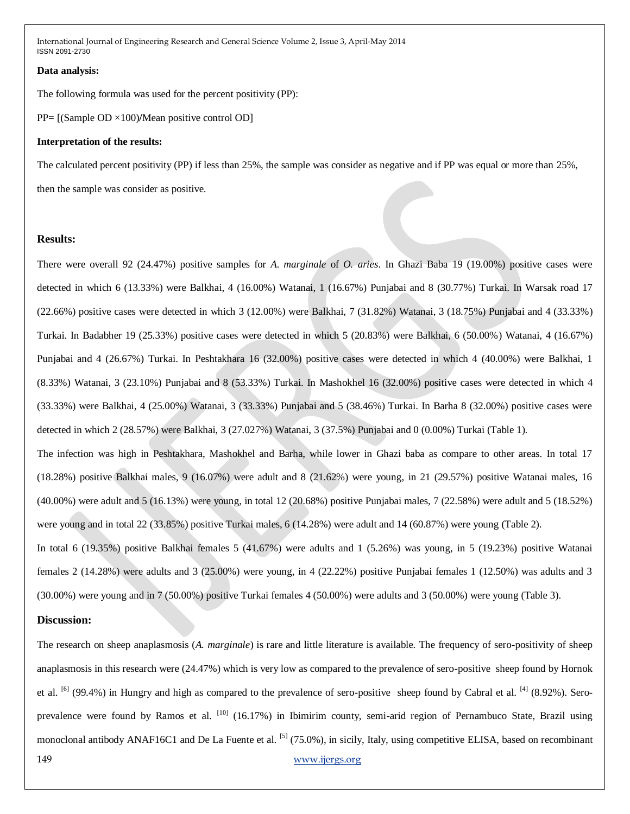#### **Data analysis:**

The following formula was used for the percent positivity (PP):

PP= [(Sample OD ×100)**/**Mean positive control OD]

#### **Interpretation of the results:**

The calculated percent positivity (PP) if less than 25%, the sample was consider as negative and if PP was equal or more than 25%, then the sample was consider as positive.

#### **Results:**

There were overall 92 (24.47%) positive samples for *A. marginale* of *O. aries*. In Ghazi Baba 19 (19.00%) positive cases were detected in which 6 (13.33%) were Balkhai, 4 (16.00%) Watanai, 1 (16.67%) Punjabai and 8 (30.77%) Turkai. In Warsak road 17 (22.66%) positive cases were detected in which 3 (12.00%) were Balkhai, 7 (31.82%) Watanai, 3 (18.75%) Punjabai and 4 (33.33%) Turkai. In Badabher 19 (25.33%) positive cases were detected in which 5 (20.83%) were Balkhai, 6 (50.00%) Watanai, 4 (16.67%) Punjabai and 4 (26.67%) Turkai. In Peshtakhara 16 (32.00%) positive cases were detected in which 4 (40.00%) were Balkhai, 1 (8.33%) Watanai, 3 (23.10%) Punjabai and 8 (53.33%) Turkai. In Mashokhel 16 (32.00%) positive cases were detected in which 4 (33.33%) were Balkhai, 4 (25.00%) Watanai, 3 (33.33%) Punjabai and 5 (38.46%) Turkai. In Barha 8 (32.00%) positive cases were detected in which 2 (28.57%) were Balkhai, 3 (27.027%) Watanai, 3 (37.5%) Punjabai and 0 (0.00%) Turkai (Table 1). The infection was high in Peshtakhara, Mashokhel and Barha, while lower in Ghazi baba as compare to other areas. In total 17 (18.28%) positive Balkhai males, 9 (16.07%) were adult and 8 (21.62%) were young, in 21 (29.57%) positive Watanai males, 16 (40.00%) were adult and 5 (16.13%) were young, in total 12 (20.68%) positive Punjabai males, 7 (22.58%) were adult and 5 (18.52%) were young and in total 22 (33.85%) positive Turkai males, 6 (14.28%) were adult and 14 (60.87%) were young (Table 2). In total 6 (19.35%) positive Balkhai females 5 (41.67%) were adults and 1 (5.26%) was young, in 5 (19.23%) positive Watanai females 2 (14.28%) were adults and 3 (25.00%) were young, in 4 (22.22%) positive Punjabai females 1 (12.50%) was adults and 3 (30.00%) were young and in 7 (50.00%) positive Turkai females 4 (50.00%) were adults and 3 (50.00%) were young (Table 3).

#### **Discussion:**

149 [www.ijergs.org](http://www.ijergs.org/) The research on sheep anaplasmosis (*A. marginale*) is rare and little literature is available. The frequency of sero-positivity of sheep anaplasmosis in this research were (24.47%) which is very low as compared to the prevalence of sero-positive sheep found by Hornok et al.  $\frac{16}{1}$  (99.4%) in Hungry and high as compared to the prevalence of sero-positive sheep found by Cabral et al.  $\frac{14}{1}$  (8.92%). Seroprevalence were found by Ramos et al. <sup>[10]</sup> (16.17%) in Ibimirim county, semi-arid region of Pernambuco State, Brazil using monoclonal antibody ANAF16C1 and De La Fuente et al.  $^{[5]}$  (75.0%), in sicily, Italy, using competitive ELISA, based on recombinant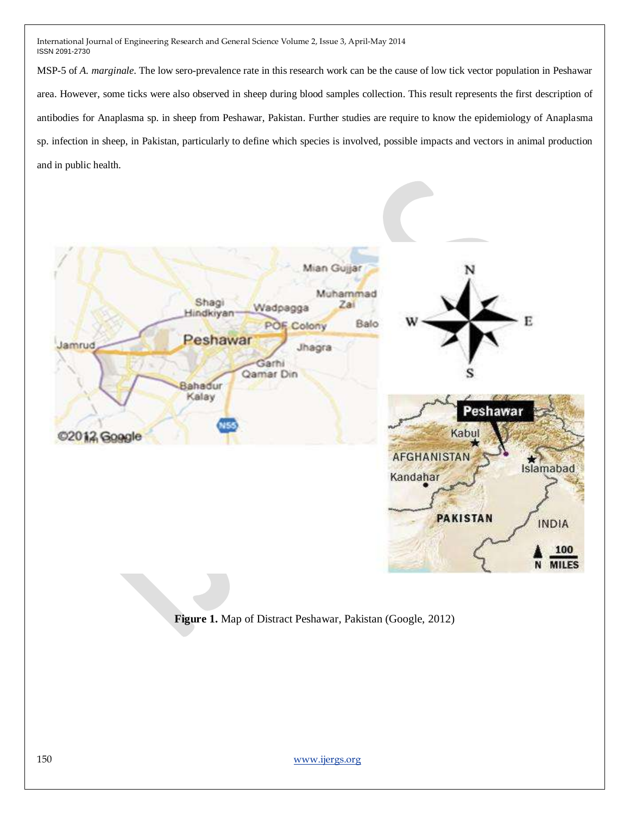MSP-5 of *A. marginale*. The low sero-prevalence rate in this research work can be the cause of low tick vector population in Peshawar area. However, some ticks were also observed in sheep during blood samples collection. This result represents the first description of antibodies for Anaplasma sp. in sheep from Peshawar, Pakistan. Further studies are require to know the epidemiology of Anaplasma sp. infection in sheep, in Pakistan, particularly to define which species is involved, possible impacts and vectors in animal production and in public health.



**Figure 1.** Map of Distract Peshawar, Pakistan (Google, 2012)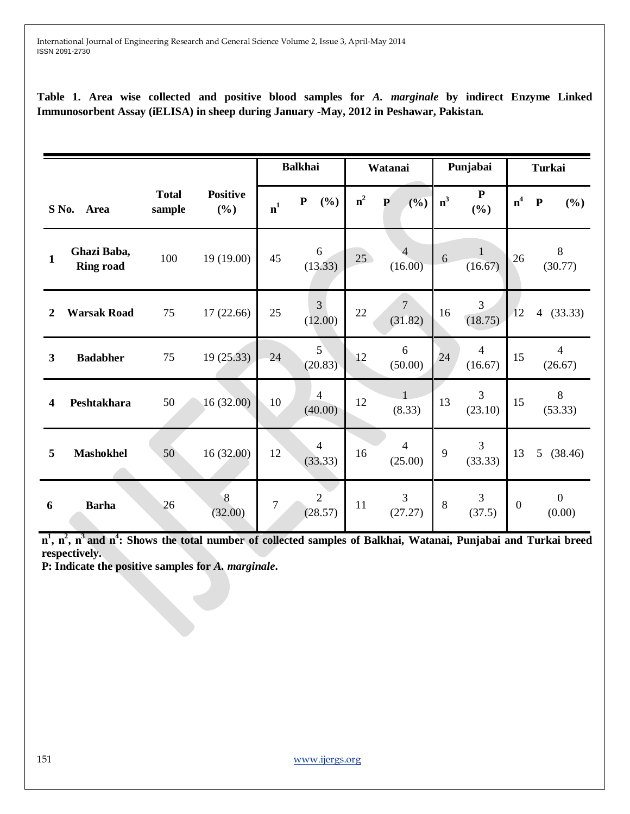**Table 1. Area wise collected and positive blood samples for** *A. marginale* **by indirect Enzyme Linked Immunosorbent Assay (iELISA) in sheep during January -May, 2012 in Peshawar, Pakistan.**

|                         |                                 |                        |                        |                | <b>Balkhai</b>            |       | Watanai                   |       | Punjabai                  |                | <b>Turkai</b>              |  |
|-------------------------|---------------------------------|------------------------|------------------------|----------------|---------------------------|-------|---------------------------|-------|---------------------------|----------------|----------------------------|--|
| S No.<br>Area           |                                 | <b>Total</b><br>sample | <b>Positive</b><br>(%) | $\mathbf{n}^1$ | ${\bf P}$<br>$(\%)$       | $n^2$ | (%)<br>${\bf P}$          | $n^3$ | ${\bf P}$<br>$(\%)$       | n <sup>4</sup> | ${\bf P}$<br>$(\%)$        |  |
| 1                       | Ghazi Baba,<br><b>Ring road</b> | 100                    | 19 (19.00)             | 45             | 6<br>(13.33)              | 25    | $\overline{4}$<br>(16.00) | 6     | $\mathbf{1}$<br>(16.67)   | 26             | $\,8\,$<br>(30.77)         |  |
| $\boldsymbol{2}$        | <b>Warsak Road</b>              | 75                     | 17(22.66)              | 25             | 3<br>(12.00)              | 22    | $\overline{7}$<br>(31.82) | 16    | 3<br>(18.75)              | 12             | 4(33.33)                   |  |
| $\overline{\mathbf{3}}$ | <b>Badabher</b>                 | 75                     | 19 (25.33)             | 24             | 5 <sup>2</sup><br>(20.83) | 12    | $6\,$<br>(50.00)          | 24    | $\overline{4}$<br>(16.67) | 15             | $\overline{4}$<br>(26.67)  |  |
| $\overline{\mathbf{4}}$ | Peshtakhara                     | 50                     | 16 (32.00)             | 10             | $\overline{4}$<br>(40.00) | 12    | (8.33)                    | 13    | 3<br>(23.10)              | 15             | 8<br>(53.33)               |  |
| 5                       | <b>Mashokhel</b>                | 50                     | 16 (32.00)             | 12             | $\overline{4}$<br>(33.33) | 16    | $\overline{4}$<br>(25.00) | 9     | 3<br>(33.33)              | 13             | 5<br>(38.46)               |  |
| 6                       | <b>Barha</b>                    | 26                     | $\sqrt{8}$<br>(32.00)  | 7              | $\sqrt{2}$<br>(28.57)     | 11    | 3<br>(27.27)              | 8     | 3<br>(37.5)               | $\mathbf{0}$   | $\boldsymbol{0}$<br>(0.00) |  |

**n 1 , n<sup>2</sup> , n<sup>3</sup>and n<sup>4</sup> : Shows the total number of collected samples of Balkhai, Watanai, Punjabai and Turkai breed respectively.**

**P: Indicate the positive samples for** *A. marginale***.**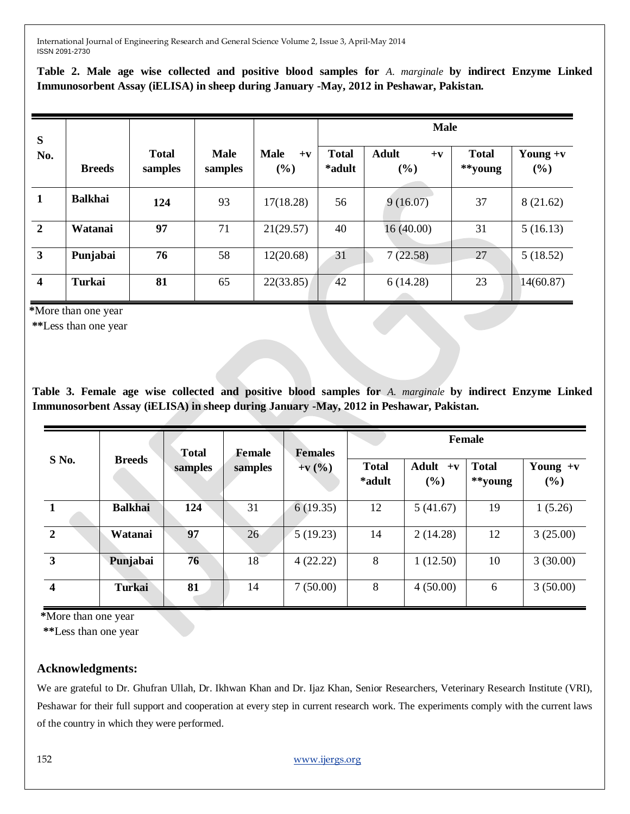**Table 2. Male age wise collected and positive blood samples for** *A. marginale* **by indirect Enzyme Linked Immunosorbent Assay (iELISA) in sheep during January -May, 2012 in Peshawar, Pakistan.**

| S                       |                |                         |                        |                                  | <b>Male</b>            |                                      |                         |                   |  |  |
|-------------------------|----------------|-------------------------|------------------------|----------------------------------|------------------------|--------------------------------------|-------------------------|-------------------|--|--|
| No.                     | <b>Breeds</b>  | <b>Total</b><br>samples | <b>Male</b><br>samples | <b>Male</b><br>$+{\bf v}$<br>(%) | <b>Total</b><br>*adult | <b>Adult</b><br>$+{\bf v}$<br>$(\%)$ | <b>Total</b><br>**young | Young $+v$<br>(%) |  |  |
|                         | <b>Balkhai</b> | 124                     | 93                     | 17(18.28)                        | 56                     | 9(16.07)                             | 37                      | 8(21.62)          |  |  |
| $\overline{2}$          | Watanai        | 97                      | 71                     | 21(29.57)                        | 40                     | 16(40.00)                            | 31                      | 5(16.13)          |  |  |
| $\mathbf{3}$            | Punjabai       | 76                      | 58                     | 12(20.68)                        | 31                     | 7(22.58)                             | 27                      | 5(18.52)          |  |  |
| $\overline{\mathbf{4}}$ | Turkai         | 81                      | 65                     | 22(33.85)                        | 42                     | 6(14.28)                             | 23                      | 14(60.87)         |  |  |

 **\***More than one year

 **\*\***Less than one year

**Table 3. Female age wise collected and positive blood samples for** *A. marginale* **by indirect Enzyme Linked Immunosorbent Assay (iELISA) in sheep during January -May, 2012 in Peshawar, Pakistan.**

|                         | <b>Breeds</b>  | <b>Total</b><br>samples | <b>Female</b><br>samples | <b>Females</b><br>$+{\bf v}({\%})$ | <b>Female</b>          |                   |                         |                   |  |
|-------------------------|----------------|-------------------------|--------------------------|------------------------------------|------------------------|-------------------|-------------------------|-------------------|--|
| S No.                   |                |                         |                          |                                    | <b>Total</b><br>*adult | Adult $+v$<br>(%) | <b>Total</b><br>**young | Young $+v$<br>(%) |  |
|                         | <b>Balkhai</b> | 124                     | 31                       | 6(19.35)                           | 12                     | 5(41.67)          | 19                      | 1(5.26)           |  |
| $\overline{2}$          | Watanai        | 97                      | 26                       | 5(19.23)                           | 14                     | 2(14.28)          | 12                      | 3(25.00)          |  |
| $\overline{\mathbf{3}}$ | Punjabai       | 76                      | 18                       | 4(22.22)                           | 8                      | 1(12.50)          | 10                      | 3(30.00)          |  |
| $\overline{\mathbf{4}}$ | <b>Turkai</b>  | 81                      | 14                       | 7(50.00)                           | 8                      | 4(50.00)          | 6                       | 3(50.00)          |  |

 **\***More than one year

 **\*\***Less than one year

# **Acknowledgments:**

We are grateful to Dr. Ghufran Ullah, Dr. Ikhwan Khan and Dr. Ijaz Khan, Senior Researchers, Veterinary Research Institute (VRI), Peshawar for their full support and cooperation at every step in current research work. The experiments comply with the current laws of the country in which they were performed.